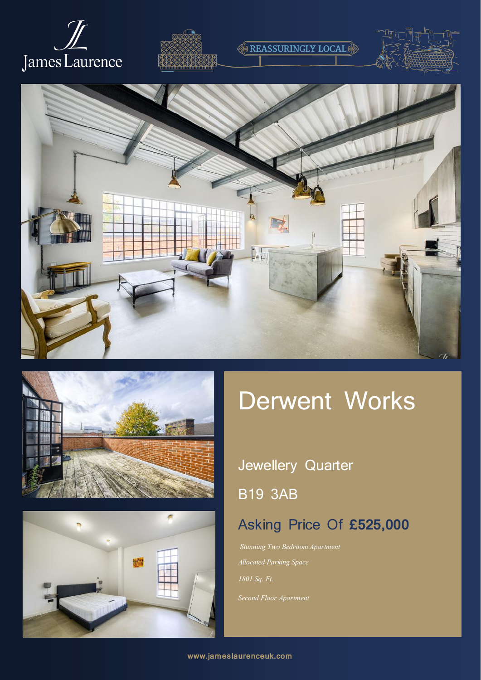



# **REASSURINGLY LOCAL**









# Derwent Works

## Jewellery Quarter

B19 3AB

## Asking Price Of **£525,000**

*Stunning Two Bedroom Apartment Allocated Parking Space*

*Second Floor Apartment*